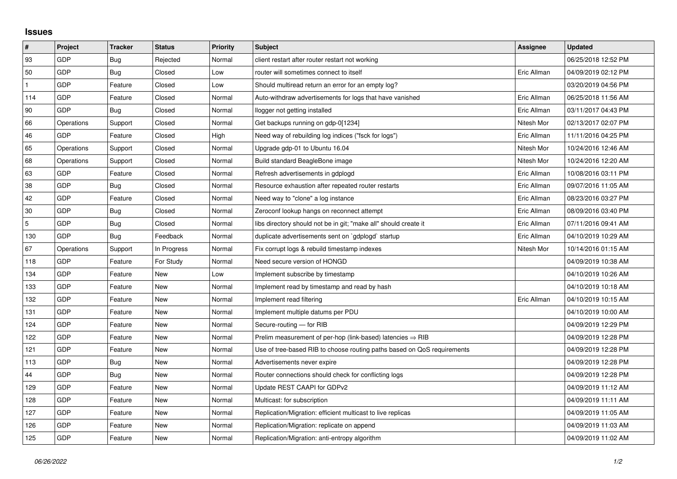## **Issues**

| #   | Project    | <b>Tracker</b> | <b>Status</b> | <b>Priority</b> | <b>Subject</b>                                                          | Assignee    | <b>Updated</b>      |
|-----|------------|----------------|---------------|-----------------|-------------------------------------------------------------------------|-------------|---------------------|
| 93  | GDP        | Bug            | Rejected      | Normal          | client restart after router restart not working                         |             | 06/25/2018 12:52 PM |
| 50  | GDP        | Bug            | Closed        | Low             | router will sometimes connect to itself                                 | Eric Allman | 04/09/2019 02:12 PM |
|     | GDP        | Feature        | Closed        | Low             | Should multiread return an error for an empty log?                      |             | 03/20/2019 04:56 PM |
| 114 | GDP        | Feature        | Closed        | Normal          | Auto-withdraw advertisements for logs that have vanished                | Eric Allman | 06/25/2018 11:56 AM |
| 90  | GDP        | Bug            | Closed        | Normal          | llogger not getting installed                                           | Eric Allman | 03/11/2017 04:43 PM |
| 66  | Operations | Support        | Closed        | Normal          | Get backups running on gdp-0[1234]                                      | Nitesh Mor  | 02/13/2017 02:07 PM |
| 46  | GDP        | Feature        | Closed        | High            | Need way of rebuilding log indices ("fsck for logs")                    | Eric Allman | 11/11/2016 04:25 PM |
| 65  | Operations | Support        | Closed        | Normal          | Upgrade gdp-01 to Ubuntu 16.04                                          | Nitesh Mor  | 10/24/2016 12:46 AM |
| 68  | Operations | Support        | Closed        | Normal          | Build standard BeagleBone image                                         | Nitesh Mor  | 10/24/2016 12:20 AM |
| 63  | GDP        | Feature        | Closed        | Normal          | Refresh advertisements in gdplogd                                       | Eric Allman | 10/08/2016 03:11 PM |
| 38  | GDP        | Bug            | Closed        | Normal          | Resource exhaustion after repeated router restarts                      | Eric Allman | 09/07/2016 11:05 AM |
| 42  | GDP        | Feature        | Closed        | Normal          | Need way to "clone" a log instance                                      | Eric Allman | 08/23/2016 03:27 PM |
| 30  | GDP        | Bug            | Closed        | Normal          | Zeroconf lookup hangs on reconnect attempt                              | Eric Allman | 08/09/2016 03:40 PM |
| 5   | GDP        | <b>Bug</b>     | Closed        | Normal          | libs directory should not be in git; "make all" should create it        | Eric Allman | 07/11/2016 09:41 AM |
| 130 | GDP        | Bug            | Feedback      | Normal          | duplicate advertisements sent on `gdplogd` startup                      | Eric Allman | 04/10/2019 10:29 AM |
| 67  | Operations | Support        | In Progress   | Normal          | Fix corrupt logs & rebuild timestamp indexes                            | Nitesh Mor  | 10/14/2016 01:15 AM |
| 118 | GDP        | Feature        | For Study     | Normal          | Need secure version of HONGD                                            |             | 04/09/2019 10:38 AM |
| 134 | GDP        | Feature        | New           | Low             | Implement subscribe by timestamp                                        |             | 04/10/2019 10:26 AM |
| 133 | GDP        | Feature        | New           | Normal          | Implement read by timestamp and read by hash                            |             | 04/10/2019 10:18 AM |
| 132 | GDP        | Feature        | New           | Normal          | Implement read filtering                                                | Eric Allman | 04/10/2019 10:15 AM |
| 131 | GDP        | Feature        | New           | Normal          | Implement multiple datums per PDU                                       |             | 04/10/2019 10:00 AM |
| 124 | GDP        | Feature        | <b>New</b>    | Normal          | Secure-routing - for RIB                                                |             | 04/09/2019 12:29 PM |
| 122 | GDP        | Feature        | New           | Normal          | Prelim measurement of per-hop (link-based) latencies $\Rightarrow$ RIB  |             | 04/09/2019 12:28 PM |
| 121 | GDP        | Feature        | New           | Normal          | Use of tree-based RIB to choose routing paths based on QoS requirements |             | 04/09/2019 12:28 PM |
| 113 | GDP        | Bug            | <b>New</b>    | Normal          | Advertisements never expire                                             |             | 04/09/2019 12:28 PM |
| 44  | GDP        | Bug            | New           | Normal          | Router connections should check for conflicting logs                    |             | 04/09/2019 12:28 PM |
| 129 | GDP        | Feature        | New           | Normal          | Update REST CAAPI for GDPv2                                             |             | 04/09/2019 11:12 AM |
| 128 | GDP        | Feature        | New           | Normal          | Multicast: for subscription                                             |             | 04/09/2019 11:11 AM |
| 127 | GDP        | Feature        | New           | Normal          | Replication/Migration: efficient multicast to live replicas             |             | 04/09/2019 11:05 AM |
| 126 | GDP        | Feature        | New           | Normal          | Replication/Migration: replicate on append                              |             | 04/09/2019 11:03 AM |
| 125 | GDP        | Feature        | <b>New</b>    | Normal          | Replication/Migration: anti-entropy algorithm                           |             | 04/09/2019 11:02 AM |